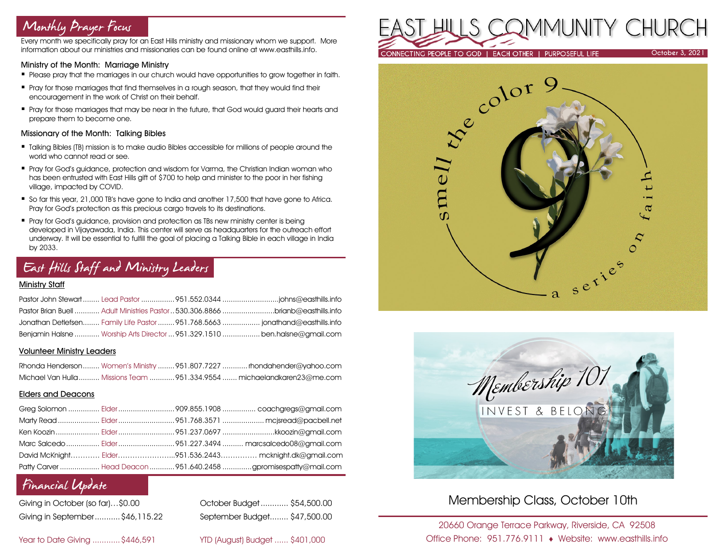# Monthly Prayer Focus

Every month we specifically pray for an East Hills ministry and missionary whom we support. More information about our ministries and missionaries can be found online at www.easthills.info.

### Ministry of the Month: Marriage Ministry

- **Please pray that the marriages in our church would have opportunities to grow together in faith.**
- **Pray for those marriages that find themselves in a rough season, that they would find their** encouragement in the work of Christ on their behalf.
- **Pray for those marriages that may be near in the future, that God would guard their hearts and** prepare them to become one.

#### Missionary of the Month: Talking Bibles

- Talking Bibles (TB) mission is to make audio Bibles accessible for millions of people around the world who cannot read or see.
- Pray for God's guidance, protection and wisdom for Varma, the Christian Indian woman who has been entrusted with East Hills gift of \$700 to help and minister to the poor in her fishing village, impacted by COVID.
- So far this year, 21,000 TB's have gone to India and another 17,500 that have gone to Africa. Pray for God's protection as this precious cargo travels to its destinations.
- **•** Pray for God's guidance, provision and protection as TBs new ministry center is being developed in Vijayawada, India. This center will serve as headquarters for the outreach effort underway. It will be essential to fulfill the goal of placing a Talking Bible in each village in India by 2033.

## East Hills Staff and Ministry Leaders

#### Ministry Staff

|  | Pastor Brian Buell  Adult Ministries Pastor  530.306.8866 brianb@easthills.info |
|--|---------------------------------------------------------------------------------|
|  |                                                                                 |
|  | Benjamin Halsne  Worship Arts Director  951.329.1510  ben.halsne@gmail.com      |

#### Volunteer Ministry Leaders

|  | Rhonda Henderson Women's Ministry 951.807.7227  rhondahender@yahoo.com  |
|--|-------------------------------------------------------------------------|
|  | Michael Van Hulla  Missions Team 951.334.9554  michaelandkaren23@me.com |

### Elders and Deacons

|  | Ken Koozin  Elder 951.237.0697 kkoozin@gmail.com                |
|--|-----------------------------------------------------------------|
|  |                                                                 |
|  | David McKnight Elder951.536.2443 mcknight.dk@gmail.com          |
|  | Patty Carver  Head Deacon  951.640.2458 gpromisespatty@mail.com |

### Financial Update

| Giving in October (so far)\$0.00 |  |
|----------------------------------|--|
| Giving in September\$46,115.22   |  |

October Budget............ \$54,500.00 Giving in September...........\$46,115.22 September Budget........ \$47,500.00

Year to Date Giving ............\$446,591 YTD (August) Budget ...... \$401,000







### Membership Class, October 10th

20660 Orange Terrace Parkway, Riverside, CA 92508 Office Phone: 951.776.9111 Website: www.easthills.info